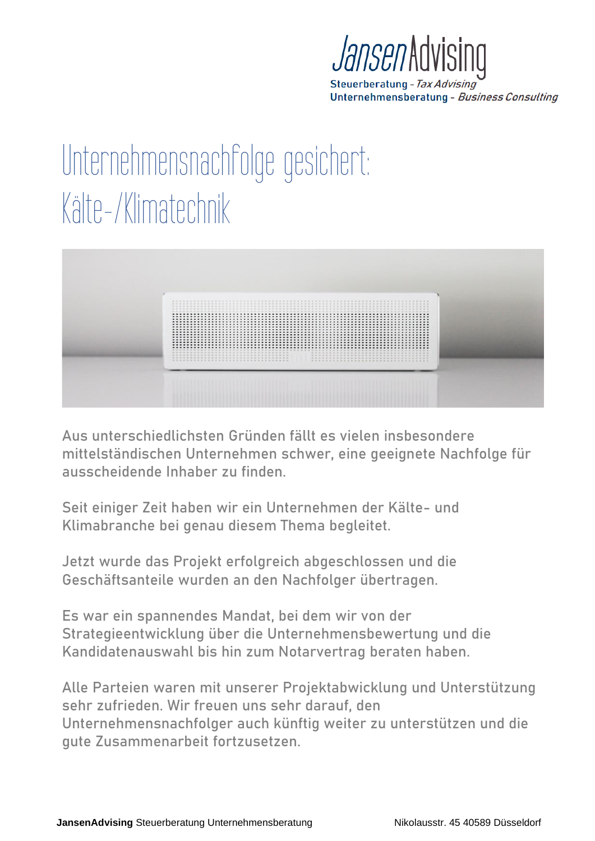

Steuerberatung - Tax Advising Unternehmensberatung - Business Consulting

## Unternehmensnachfolge gesichert: Kälte-/Klimatechnik



Aus unterschiedlichsten Gründen fällt es vielen insbesondere mittelständischen Unternehmen schwer, eine geeignete Nachfolge für ausscheidende Inhaber zu finden.

Seit einiger Zeit haben wir ein Unternehmen der Kälte- und Klimabranche bei genau diesem Thema begleitet.

Jetzt wurde das Projekt erfolgreich abgeschlossen und die Geschäftsanteile wurden an den Nachfolger übertragen.

Es war ein spannendes Mandat, bei dem wir von der Strategieentwicklung über die Unternehmensbewertung und die Kandidatenauswahl bis hin zum Notarvertrag beraten haben.

Alle Parteien waren mit unserer Projektabwicklung und Unterstützung sehr zufrieden. Wir freuen uns sehr darauf, den Unternehmensnachfolger auch künftig weiter zu unterstützen und die gute Zusammenarbeit fortzusetzen.